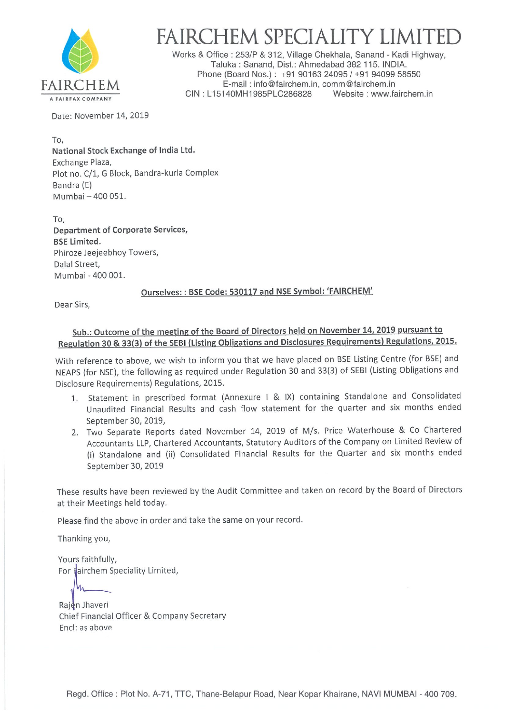

# FAIRCHEM SPECIALITY LIMIT

Works & Office : 253/P & 312, Village Chekhala, Sanand - Kadi Highway, Taluka : Sanand, Dist.: Ahmedabad 382 115. INDIA. Phone (Board Nos.): +91 90163 24095 / +91 94099 58550 FAIRCHEM E-mail : info@fairchem.in, comm@fairchem.in<br>CIN : L15140MH1985PLC286828 Website : www.fairchem.in

Date: November 14, 2019

To, National Stock Exchange of India Ltd. Exchange Plaza, Plot no. C/1, G Block, Bandra-kurla Complex Bandra (E) Mumbai —400 051.

To, Department of Corporate Services, BSE Limited. Phiroze Jeejeebhoy Towers, Dalal Street, Mumbai - 400 001.

### Ourselves: : BSE Code: 530117 and NSE Symbol: 'FAIRCHEM'

Dear Sirs,

## Sub.: Outcome of the meeting of the Board of Directors held on November 14.2019 pursuant to Regulation 30 & 33(3) of the SEBI (Listing Obligations and Disclosures Requirements) Regulations. 2015.

With reference to above, we wish to inform you that we have placed on BSE Listing Centre (for BSE) and NEAPS (for NSE), the following as required under Regulation 30 and 33(3) of SEBI (Listing Obligations and Disclosure Requirements) Regulations, 2015.

- 1. Statement in prescribed format (Annexure <sup>I</sup> & IX) containing Standalone and Consolidated Unaudited Financial Results and cash flow statement for the quarter and six months ended September 30, 2019,
- 2. Two Separate Reports dated November 14, 2019 of M/s. Price Waterhouse & Co Chartered Accountants LLP, Chartered Accountants, Statutory Auditors of the Company on Limited Review of (i) Standalone and (ii) Consolidated Financial Results for the Quarter and six months ended September 30, 2019

These results have been reviewed by the Audit Committee and taken on record by the Board of Directors at their Meetings held today.

Please find the above in order and take the same on your record.

Thanking you,

Yours faithfully, For Fairchem Speciality Limited,

Rajen Jhaveri Chief Financial Officer & Company Secretary End: as above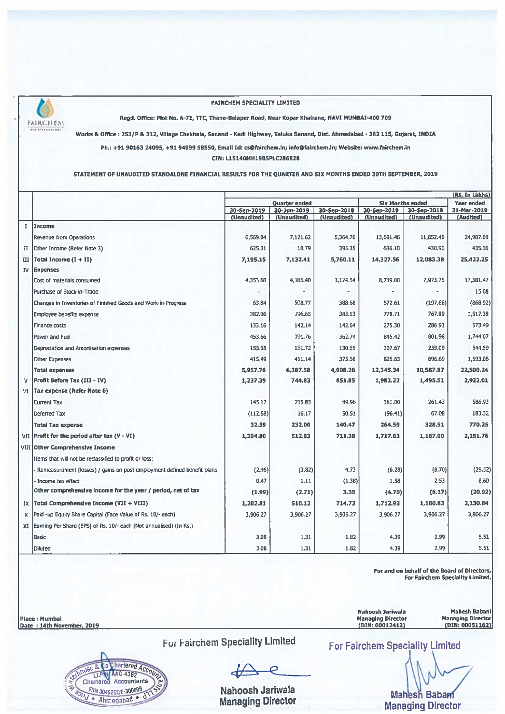

#### **FAIRCHEM SPECIALITY LIMITED**

Regd. Office: Plot No. A-71, TTC, Thane-Belapur Road, Near Kopar Khairane, NAVI MUMBAI-400 709

Works & Office: 253/P & 312, Village Chekhala, Sanand - Kadi Highway, Taluka Sanand, Dist. Ahmedabad - 382 115, Gujarat, INDIA

Ph.: +91 90163 24095, +91 94099 58550, Email Id: cs@fairchem.in; info@fairchem.in; Website: www.fairchem.in

CIN: L15140MH1985PLC286828

STATEMENT OF UNAUDITED STANDALONE FINANCIAL RESULTS FOR THE QUARTER AND SIX MONTHS ENDED 30TH SEPTEMBER, 2019

|     |                                                                           |                      |             |                         |             |                   | (Rs. In Lakhs) |
|-----|---------------------------------------------------------------------------|----------------------|-------------|-------------------------|-------------|-------------------|----------------|
|     |                                                                           | <b>Ouarter ended</b> |             | <b>Six Months ended</b> |             | <b>Year ended</b> |                |
|     |                                                                           | 30-Sep-2019          | 30-Jun-2019 | 30-Sep-2018             | 30-Sep-2019 | 30-Sep-2018       | 31-Mar-2019    |
|     |                                                                           | (Unaudited)          | (Unaudited) | (Unaudited)             | (Unaudited) | (Unaudited)       | (Audited)      |
| T.  | Income                                                                    |                      |             |                         |             |                   |                |
|     | Revenue from Operations                                                   | 6,569.84             | 7,121.62    | 5,364.76                | 13,691.46   | 11,652.48         | 24,987.09      |
| п   | Other Income (Refer Note 3)                                               | 625.31               | 10.79       | 395.35                  | 636.10      | 430.90            | 435.16         |
| Ш   | $[Total Income (I + II)]$                                                 | 7,195.15             | 7,132.41    | 5,760.11                | 14,327.56   | 12,083.38         | 25,422.25      |
| IV  | Expenses                                                                  |                      |             |                         |             |                   |                |
|     | Cost of materials consumed                                                | 4,353.60             | 4,385.40    | 3,124.54                | 8,739.00    | 7,973.75          | 17,381.47      |
|     | Purchase of Stock-in-Trade                                                |                      |             |                         |             |                   | 15.08          |
|     | Changes in Inventories of Finished Goods and Work-in-Progress             | 63.84                | 508.77      | 388.68                  | 572.61      | (197.66)          | (868.92)       |
|     | Employee benefits expense                                                 | 382.06               | 396.65      | 383.53                  | 778.71      | 767.09            | 1,517.38       |
|     | Finance costs                                                             | 133.16               | 142.14      | 142.64                  | 275.30      | 286.93            | 573.49         |
|     | Power and Fuel                                                            | 453.66               | 391.76      | 362.74                  | 845.42      | 801.98            | 1,744.07       |
|     | Depreciation and Amortisation expenses                                    | 155.95               | 151.72      | 130.55                  | 307.67      | 259.09            | 544.59         |
|     | <b>Other Expenses</b>                                                     | 415.49               | 411.14      | 375.58                  | 826.63      | 696.69            | 1,593.08       |
|     | <b>Total expenses</b>                                                     | 5,957.76             | 6,387.58    | 4,908.26                | 12,345.34   | 10,587.87         | 22,500.24      |
| v   | <b>Profit Before Tax (III - IV)</b>                                       | 1,237.39             | 744.83      | 851.85                  | 1,982.22    | 1,495.51          | 2,922.01       |
| VI  | Tax expense (Refer Note 6)                                                |                      |             |                         |             |                   |                |
|     | <b>Current Tax</b>                                                        | 145.17               | 215.83      | 89.96                   | 361.00      | 261.43            | 586.93         |
|     | Deferred Tax                                                              | (112.58)             | 16.17       | 50.51                   | (96.41)     | 67.08             | 183.32         |
|     | <b>Total Tax expense</b>                                                  | 32.59                | 232.00      | 140.47                  | 264.59      | 328.51            | 770.25         |
|     | $VII$ Profit for the period after tax $(V - VI)$                          | 1,204.80             | 512.83      | 711.38                  | 1.717.63    | 1,167.00          | 2.151.76       |
|     | <b>VIII Other Comprehensive Income</b>                                    |                      |             |                         |             |                   |                |
|     | Items that will not be reclassified to profit or loss:                    |                      |             |                         |             |                   |                |
|     | - Remeasurement (losses) / gains on post employment defined benefit plans | (2.46)               | (3.82)      | 4.73                    | (6.28)      | (8.70)            | (29.52)        |
|     | Income tax effect                                                         | 0.47                 | 1.11        | (1.38)                  | 1.58        | 2.53              | 8.60           |
|     | Other comprehensive income for the year / period, net of tax              | (1.99)               | (2.71)      | 3.35                    | (4.70)      | (6.17)            | (20.92)        |
| IX. | Total Comprehensive Income (VII + VIII)                                   | 1,202.81             | 510.12      | 714.73                  | 1,712.93    | 1,160.83          | 2,130.84       |
| X.  | Paid -up Equity Share Capital (Face Value of Rs. 10/- each)               | 3,906.27             | 3,906.27    | 3,906.27                | 3,906.27    | 3,906.27          | 3,906.27       |
| XI  | [Earning Per Share (EPS) of Rs. 10/- each (Not annualised) (In Rs.)       |                      |             |                         |             |                   |                |
|     | Basic                                                                     | 3.08                 | 1.31        | 1.82                    | 4.39        | 2.99              | 5.51           |
|     | Diluted                                                                   | 3.08                 | 1.31        | 1.82                    | 4.39        | 2.99              | 5.51           |

For and on behalf of the Board of Directors, For Fairchem Speciality Limited,

**Mahesh Babani** 

**Managing Director** 

(DIN: 00051162)

**Place: Mumbal** Date: 14th November, 2019

> to Charlered Accoun -8.  $\pi$ Chartered Accountants FRN 304026E/E-300009  $*$  Ahmedabad  $*$  d

For Fairchem Speciality Limited

Nahoosh Jariwala **Managing Director**  **For Fairchem Speciality Limited** 

**Nahoosh Jariwala** 

Managing Director<br>(DIN: 00012412)

**Mahesh Babam Managing Director**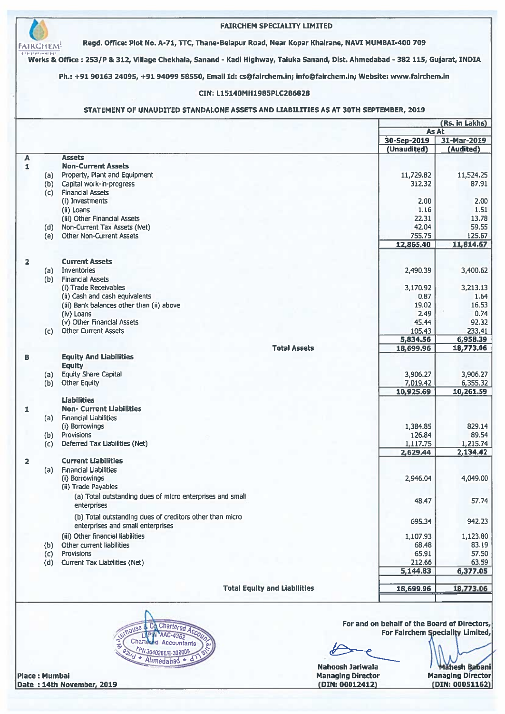|                |     |                                                                          | STATEMENT OF UNAUDITED STANDALONE ASSETS AND LIABILITIES AS AT 30TH SEPTEMBER, 2019 | (Rs. in Lakhs)           |
|----------------|-----|--------------------------------------------------------------------------|-------------------------------------------------------------------------------------|--------------------------|
|                |     |                                                                          | As At                                                                               |                          |
|                |     |                                                                          | 30-Sep-2019<br>(Unaudited)                                                          | 31-Mar-2019<br>(Audited) |
| A              |     | <b>Assets</b>                                                            |                                                                                     |                          |
| $\mathbf{I}$   | (a) | <b>Non-Current Assets</b><br>Property, Plant and Equipment               | 11,729.82                                                                           | 11,524.25                |
|                | (b) | Capital work-in-progress                                                 | 312.32                                                                              | 87.91                    |
|                | (c) | <b>Financial Assets</b>                                                  |                                                                                     |                          |
|                |     | (i) Investments                                                          | 2.00                                                                                | 2.00                     |
|                |     | (ii) Loans<br>(iii) Other Financial Assets                               | 1.16<br>22.31                                                                       | 1.51<br>13.78            |
|                |     | (d) Non-Current Tax Assets (Net)                                         | 42.04                                                                               | 59.55                    |
|                | (e) | <b>Other Non-Current Assets</b>                                          | 755.75                                                                              | 125.67                   |
|                |     |                                                                          | 12,865.40                                                                           | 11,814.67                |
|                |     |                                                                          |                                                                                     |                          |
| $\overline{2}$ | (a) | <b>Current Assets</b><br>Inventories                                     | 2,490.39                                                                            | 3,400.62                 |
|                | (b) | <b>Financial Assets</b>                                                  |                                                                                     |                          |
|                |     | (i) Trade Receivables                                                    | 3,170.92                                                                            | 3,213.13                 |
|                |     | (ii) Cash and cash equivalents                                           | 0.87                                                                                | 1.64                     |
|                |     | (iii) Bank balances other than (ii) above<br>(iv) Loans                  | 19.02<br>2.49                                                                       | 16.53<br>0.74            |
|                |     | (v) Other Financial Assets                                               | 45.44                                                                               | 92.32                    |
|                |     | (c) Other Current Assets                                                 | 105.43                                                                              | 233.41                   |
|                |     | <b>Total Assets</b>                                                      | 5,834.56                                                                            | 6,958.39                 |
| В              |     | <b>Equity And Liabilities</b>                                            | 18,699.96                                                                           | 18,773.06                |
|                |     | <b>Equity</b>                                                            |                                                                                     |                          |
|                | (a) | <b>Equity Share Capital</b>                                              | 3,906.27                                                                            | 3,906.27                 |
|                | (b) | <b>Other Equity</b>                                                      | 7,019.42                                                                            | 6,355.32                 |
|                |     | <b>Liabilities</b>                                                       | 10,925.69                                                                           | 10,261.59                |
| 1              |     | <b>Non- Current Liabilities</b>                                          |                                                                                     |                          |
|                | (a) | <b>Financial Liabilities</b>                                             |                                                                                     |                          |
|                |     | (i) Borrowings                                                           | 1,384.85                                                                            | 829.14                   |
|                | (b) | Provisions<br>Deferred Tax Liabilities (Net)                             | 126.84<br>1.117.75                                                                  | 89.54                    |
|                | (c) |                                                                          | 2,629.44                                                                            | 1,215.74<br>2,134.42     |
| $\overline{2}$ |     | <b>Current Liabilities</b>                                               |                                                                                     |                          |
|                | (a) | <b>Financial Liabilities</b>                                             |                                                                                     |                          |
|                |     | (i) Borrowings                                                           | 2,946.04                                                                            | 4,049.00                 |
|                |     | (ii) Trade Payables                                                      |                                                                                     |                          |
|                |     | (a) Total outstanding dues of micro enterprises and small<br>enterprises | 48.47                                                                               | 57.74                    |
|                |     | (b) Total outstanding dues of creditors other than micro                 |                                                                                     |                          |
|                |     | enterprises and small enterprises                                        | 695.34                                                                              | 942.23                   |
|                |     | (iii) Other financial liabilities                                        | 1,107.93                                                                            | 1,123.80                 |
|                | (b) | Other current liabilities                                                | 68.48                                                                               | 83.19                    |
|                | (c) | Provisions                                                               | 65.91                                                                               | 57.50                    |
|                | (d) | Current Tax Liabilities (Net)                                            | 212.66<br>5,144.83                                                                  | 63.59<br>6,377.05        |
|                |     |                                                                          |                                                                                     |                          |
|                |     | <b>Total Equity and Liabilities</b>                                      | 18,699.96                                                                           | 18,773.06                |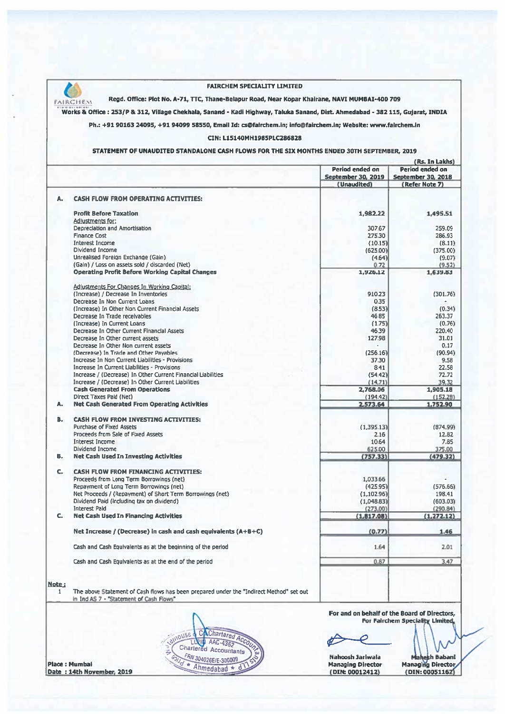

Place: Mumbai

Date: 14th November, 2019

#### **FAIRCHEM SPECIALITY LIMITED**

Regd. Office: Plot No. A-71, TTC, Thane-Belapur Road, Near Kopar Khairane, NAVI MUMBAI-400 709

Works & Office : 253/P & 312, Village Chekhala, Sanand - Kadi Highway, Taluka Sanand, Dist. Ahmedabad - 382 115, Gujarat, INDIA

Ph.: +91 90163 24095, +91 94099 58550, Email Id: cs@fairchem.in; info@fairchem.in; Website: www.fairchem.in

#### CIN: L15140MH1985PLC286828

#### STATEMENT OF UNAUDITED STANDALONE CASH FLOWS FOR THE SIX MONTHS ENDED 30TH SEPTEMBER, 2019

|              |                                                                                                                                    |                         | (Rs. In Lakhs)          |
|--------------|------------------------------------------------------------------------------------------------------------------------------------|-------------------------|-------------------------|
|              |                                                                                                                                    | Period ended on         | Period ended on         |
|              |                                                                                                                                    | September 30, 2019      | September 30, 2018      |
|              |                                                                                                                                    | (Unaudited)             | (Refer Note 7)          |
| А.           | <b>CASH FLOW FROM OPERATING ACTIVITIES:</b>                                                                                        |                         |                         |
|              | <b>Profit Before Taxation</b>                                                                                                      | 1,982.22                | 1,495.51                |
|              | Adjustments for:                                                                                                                   |                         |                         |
|              | Depreciation and Amortisation                                                                                                      | 307.67                  | 259.09                  |
|              | <b>Finance Cost</b>                                                                                                                | 275.30                  | 286.93                  |
|              | <b>Interest Income</b>                                                                                                             | (10.15)                 | (8.11)                  |
|              | Dividend Income                                                                                                                    | (625.00)                | (375.00)                |
|              | Unrealised Foreign Exchange (Gain)                                                                                                 | (4.64)                  | (9.07)                  |
|              | (Gain) / Loss on assets sold / discarded (Net)                                                                                     | 0.72                    | (9.52)                  |
|              | <b>Operating Profit Before Working Capital Changes</b>                                                                             | 1,926.12                | 1,639.83                |
|              | Adjustments For Changes In Working Capital:                                                                                        |                         |                         |
|              | (Increase) / Decrease In Inventories                                                                                               | 910.23                  | (301.76)                |
|              | Decrease In Non Current Loans                                                                                                      | 0.35                    |                         |
|              | (Increase) In Other Non Current Financial Assets                                                                                   | (8.53)                  | (0.34)                  |
|              | Decrease In Trade receivables                                                                                                      | 46.85                   |                         |
|              | (Increase) In Current Loans                                                                                                        | (1.75)                  | 263.37                  |
|              |                                                                                                                                    |                         | (0.76)                  |
|              | Decrease In Other Current Financial Assets                                                                                         | 46.39                   | 220.40                  |
|              | Decrease In Other current assets                                                                                                   | 127.98                  | 31.01                   |
|              | Decrease In Other Non current assets                                                                                               |                         | 0.17                    |
|              | (Decrease) In Trade and Other Payables                                                                                             | (256.16)                | (90.94)                 |
|              | Increase In Non Current Liabilities - Provisions                                                                                   | 37.30                   | 9.58                    |
|              | Increase In Current Liabilities - Provisions                                                                                       | 8.41                    | 22.58                   |
|              | Increase / (Decrease) In Other Current Financial Liabilities                                                                       | (54.42)                 | 72.72                   |
|              | Increase / (Decrease) In Other Current Liabilities                                                                                 | (14.71)                 | 39.32                   |
|              | <b>Cash Generated From Operations</b>                                                                                              | 2.768.06                | 1.905.18                |
|              | Direct Taxes Pald (Net)                                                                                                            | (194.42)                | (152,28)                |
| A.           | <b>Net Cash Generated From Operating Activities</b>                                                                                | 2,573.64                | 1,752.90                |
| В.           | <b>CASH FLOW FROM INVESTING ACTIVITIES:</b>                                                                                        |                         |                         |
|              | <b>Purchase of Fixed Assets</b>                                                                                                    | (1,395.13)              | (874.99)                |
|              | Proceeds from Sale of Fixed Assets                                                                                                 | 2.16                    | 12.82                   |
|              | Interest Income                                                                                                                    | 10.64                   | 7.85                    |
|              | Dividend Income                                                                                                                    | 625.00                  | 375.00                  |
| в.           | <b>Net Cash Used In Investing Activities</b>                                                                                       | (757.33)                | (479.32)                |
| c.           | <b>CASH FLOW FROM FINANCING ACTIVITIES:</b>                                                                                        |                         |                         |
|              | Proceeds from Long Term Borrowings (net)                                                                                           | 1,033.66                |                         |
|              |                                                                                                                                    |                         |                         |
|              | Repayment of Long Term Borrowings (net)                                                                                            | (425.95)                | (576.66)                |
|              | Net Proceeds / (Repayment) of Short Term Borrowings (net)                                                                          | (1, 102.96)             | 198.41                  |
|              | Dividend Paid (Including tax on dividend)                                                                                          | (1,048.83)              | (603.03)                |
| c.           | <b>Interest Paid</b><br><b>Net Cash Used In Financing Activities</b>                                                               | (273.00)<br>(1, 817.08) | (290.84)<br>(1, 272.12) |
|              |                                                                                                                                    |                         |                         |
|              | Net Increase / (Decrease) in cash and cash equivalents (A+B+C)                                                                     | (0.77)                  | 1.46                    |
|              | Cash and Cash Equivalents as at the beginning of the period                                                                        | 1.64                    | 2.01                    |
|              | Cash and Cash Equivalents as at the end of the period                                                                              | 0.87                    | 3.47                    |
|              |                                                                                                                                    |                         |                         |
| <u>Note:</u> |                                                                                                                                    |                         |                         |
| 1            | The above Statement of Cash flows has been prepared under the "Indirect Method" set out<br>in Ind AS 7 - "Statement of Cash Flows" |                         |                         |

**For Fairchem Speciality Limite** 

 $\phi$  $\boldsymbol{\varphi}$ 

Nahoosh Jariwala Managing Director<br>(DIN: 00012412) Mahesh Babani<br>Managing Director (DIN: 00051162)

C Charlered Acc nouse Charlered Accountants FRN 304026E/E-300009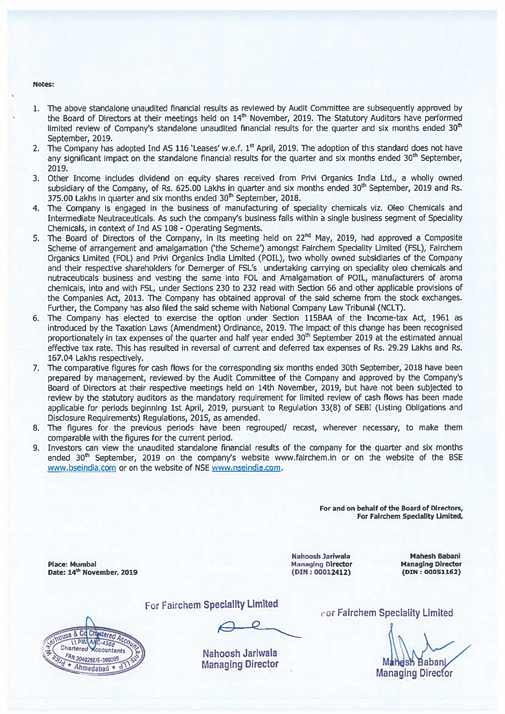#### Notes:

- 1. The above standalone unaudited financial results as reviewed by Audit Committee are subsequently approved by the Board of Directors at their meetings held on 14<sup>th</sup> November, 2019. The Statutory Auditors have performed limited review of Company's standalone unaudited financial results for the quarter and six months ended 30<sup>th</sup> September, 2019.
- 2. The Company has adopted Ind AS 116 'Leases' w.e.f. 1<sup>st</sup> April, 2019. The adoption of this standard does not have any significant impact on the standalone financial results for the quarter and six months ended 30<sup>th</sup> September, 2019.
- 3. Other Income includes dividend on equity shares received from Privi Organics India Ltd., a wholly owned subsidiary of the Company, of Rs. 625.00 Lakhs in quarter and six months ended 30<sup>th</sup> September, 2019 and Rs. 375.00 Lakhs in quarter and six months ended 30<sup>th</sup> September, 2018.
- 4. The Company is engaged in the business of manufacturing of speciality chemicals viz. Oleo Chemicals and Intermediate Neutraceuticals. As such the company's business falls within a single business segment of Speciality Chemicals, in context of Ind AS 108 - Operating Segments.
- 5. The Board of Directors of the Company, in its meeting held on 22<sup>nd</sup> May, 2019, had approved a Composite Scheme of arrangement and amalgamation ('the Scheme') amongst Fairchem Speciality Limited (FSL), Fairchem Organics Limited (FOL) and Privi Organics India Limited (POIL), two wholly owned subsidiaries of the Company and their respective shareholders for Demerger of FSL's undertaking carrying on speciality oleo chemicals and nutraceuticals business and vesting the same into FOL and Amalgamation of POIL, manufacturers of aroma chemicals, into and with FSL, under Sections 230 to 232 read with Section 66 and other applicable provisions of the Companies Act, 2013. The Company has obtained approval of the said scheme from the stock exchanges. Further, the Company has also filed the said scheme with National Company Law Tribunal (NCLT).
- 6. The Company has elected to exercise the option under Section 115BAA of the Income-tax Act, 1961 as introduced by the Taxation Laws (Amendment) Ordinance, 2019. The impact of this change has been recognised proportionately in tax expenses of the quarter and half year ended 30<sup>th</sup> September 2019 at the estimated annual effective tax rate. This has resulted in reversal of current and deferred tax expenses of Rs. 29.29 Lakhs and Rs. 167.04 Lakhs respectively.
- 7. The comparative figures for cash flows for the corresponding six months ended 30th September, 2018 have been prepared by management, reviewed by the Audit Committee of the Company and approved by the Company's Board of Directors at their respective meetings held on 14th November, 2019, but have not been subjected to review by the statutory auditors as the mandatory requirement for limited review of cash flows has been made applicable for periods beginning 1st April, 2019, pursuant to Regulation 33(8) of SEBI (Listing Obligations and Disclosure Requirements) Regulations, 2015, as amended.
- 8. The figures for the previous periods have been regrouped/ recast, wherever necessary, to make them comparable with the figures for the current period.
- Investors can view the unaudited standalone financial results of the company for the quarter and six months  $9<sub>1</sub>$ ended 30<sup>th</sup> September, 2019 on the company's website www.fairchem.in or on the website of the BSE www.bseindia.com or on the website of NSE www.nseindia.com.

For and on behalf of the Board of Directors, For Fairchem Speciality Limited,

**Place: Mumbai** Date: 14th November, 2019 Nahoosh Jariwala **Managing Director**  $(DIN: 00012412)$ 

**Mahesh Babani Managing Director**  $(DIN: 00051162)$ 



For Fairchem Speciality Limited

Nahoosh Jariwala **Managing Director**  For Fairchem Speciality Limited

ı Bahan **Managing Director**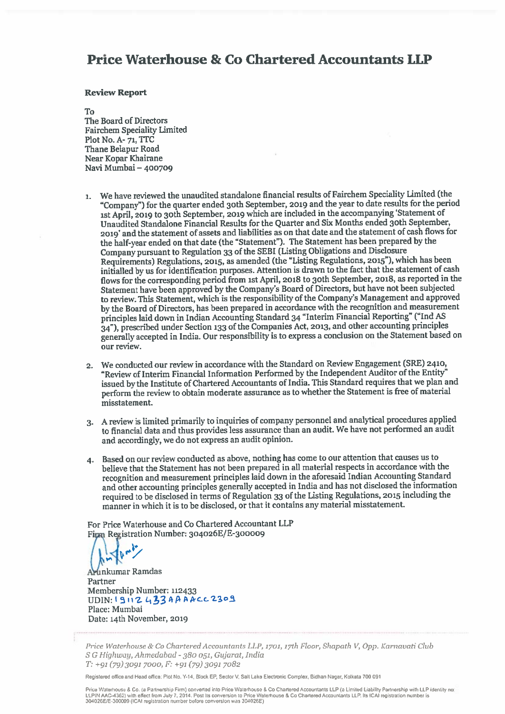## **Price Waterhouse & Co Chartered Accountants LLP**

#### **Review Report**

#### $T_{\Omega}$

The Board of Directors **Fairchem Speciality Limited** Plot No. A-71, TTC Thane Belapur Road Near Kopar Khairane Navi Mumbai - 400709

- We have reviewed the unaudited standalone financial results of Fairchem Speciality Limited (the  $\mathbf{1}$ . "Company") for the quarter ended 30th September, 2019 and the year to date results for the period 1st April, 2019 to 30th September, 2019 which are included in the accompanying 'Statement of Unaudited Standalone Financial Results for the Quarter and Six Months ended 30th September, 2019' and the statement of assets and liabilities as on that date and the statement of cash flows for the half-year ended on that date (the "Statement"). The Statement has been prepared by the Company pursuant to Regulation 33 of the SEBI (Listing Obligations and Disclosure Requirements) Regulations, 2015, as amended (the "Listing Regulations, 2015"), which has been initialled by us for identification purposes. Attention is drawn to the fact that the statement of cash flows for the corresponding period from 1st April, 2018 to 30th September, 2018, as reported in the Statement have been approved by the Company's Board of Directors, but have not been subjected to review. This Statement, which is the responsibility of the Company's Management and approved by the Board of Directors, has been prepared in accordance with the recognition and measurement principles laid down in Indian Accounting Standard 34 "Interim Financial Reporting" ("Ind AS 34"), prescribed under Section 133 of the Companies Act, 2013, and other accounting principles generally accepted in India. Our responsibility is to express a conclusion on the Statement based on our review.
- 2. We conducted our review in accordance with the Standard on Review Engagement (SRE) 2410, "Review of Interim Financial Information Performed by the Independent Auditor of the Entity" issued by the Institute of Chartered Accountants of India. This Standard requires that we plan and perform the review to obtain moderate assurance as to whether the Statement is free of material misstatement.
- 3. A review is limited primarily to inquiries of company personnel and analytical procedures applied to financial data and thus provides less assurance than an audit. We have not performed an audit and accordingly, we do not express an audit opinion.
- 4. Based on our review conducted as above, nothing has come to our attention that causes us to believe that the Statement has not been prepared in all material respects in accordance with the recognition and measurement principles laid down in the aforesaid Indian Accounting Standard and other accounting principles generally accepted in India and has not disclosed the information required to be disclosed in terms of Regulation 33 of the Listing Regulations, 2015 including the manner in which it is to be disclosed, or that it contains any material misstatement.

For Price Waterhouse and Co Chartered Accountant LLP Fign Registration Number: 304026E/E-300009

Arinkumar Ramdas Partner Membership Number: 112433 UDIN: 19112433AAAAcc2309 Place: Mumbai Date: 14th November, 2019

Price Waterhouse & Co Chartered Accountants LLP, 1701, 17th Floor, Shapath V, Opp. Karnavati Club S G Highway, Ahmedabad - 380 051, Gujarat, India  $T: +91(79)30917000$ ,  $F: +91(79)30917082$ 

Registered office and Head office: Plot No. Y-14, Block EP, Sector V, Salt Lake Electronic Complex, Bidhan Nagar, Kolkata 700 091

Price Waterhouse & Co. (a Partnership Firm) converted into Price Waterhouse & Co Chartered Accountants LLP (a Limited Liability Partnership with LLP identity not<br>LLPIN AAC-4362) with effect from July 7, 2014. Post Its conv 304026E/E-300009 (ICAI registration number before conversion was 304026E)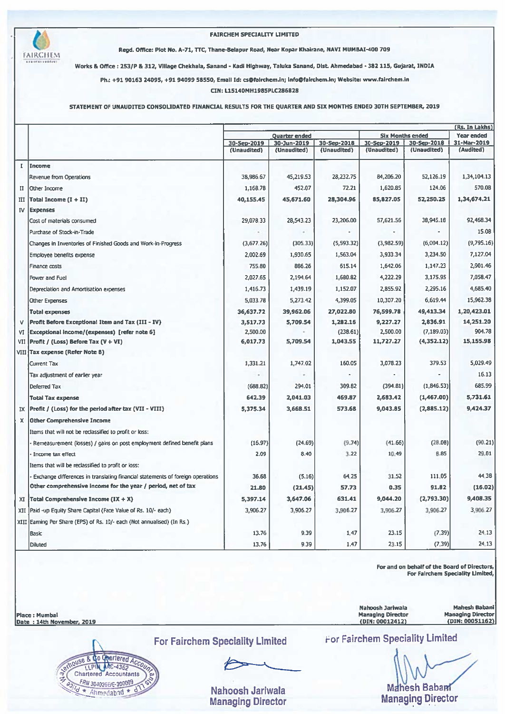

#### **FAIRCHEM SPECIALITY LIMITED**

Regd. Office: Plot No. A-71, TTC, Thane-Belapur Road, Near Kopar Khairane, NAVI MUMBAI-400 709

Works & Office : 253/P & 312, Village Chekhala, Sanand - Kadi Highway, Taluka Sanand, Dist. Ahmedabad - 382 115, Gujarat, INDIA

Ph.: +91 90163 24095, +91 94099 58550, Email Id: cs@fairchem.in; Info@fairchem.in; Website: www.fairchem.in

CIN: L15140MH1985PLC286828

#### STATEMENT OF UNAUDITED CONSOLIDATED FINANCIAL RESULTS FOR THE QUARTER AND SIX MONTHS ENDED 30TH SEPTEMBER, 2019

|              |                                                                                |                            |                            |                            |                            | (Rs. In Lakhs)             |                                  |  |
|--------------|--------------------------------------------------------------------------------|----------------------------|----------------------------|----------------------------|----------------------------|----------------------------|----------------------------------|--|
|              |                                                                                |                            | <b>Quarter ended</b>       |                            | <b>Six Months ended</b>    |                            | <b>Year ended</b><br>31-Mar-2019 |  |
|              |                                                                                | 30-5ep-2019<br>(Unaudited) | 30-Jun-2019<br>(Unaudited) | 30-Sep-2018<br>(Unaudited) | 30-Sep-2019<br>(Unaudited) | 30-Sep-2018<br>(Unaudited) | (Audited)                        |  |
|              |                                                                                |                            |                            |                            |                            |                            |                                  |  |
| $\mathbf{I}$ | Income                                                                         |                            |                            |                            |                            |                            |                                  |  |
|              | Revenue from Operations                                                        | 38,986.67                  | 45,219.53                  | 28,232.75                  | 84,206.20                  | 52,126.19                  | 1,34,104.13                      |  |
| п            | lOther Income                                                                  | 1,168.78                   | 452.07                     | 72.21                      | 1,620.85                   | 124.06                     | 570.08                           |  |
| III          | Total Income $(I + II)$                                                        | 40,155.45                  | 45,671.60                  | 28,304.96                  | 85,827.05                  | 52,250.25                  | 1,34,674.21                      |  |
| <b>IV</b>    | <b>Expenses</b>                                                                |                            |                            |                            |                            |                            |                                  |  |
|              | Cost of materials consumed                                                     | 29,078.33                  | 28.543.23                  | 23,206.00                  | 57,621.56                  | 38,945.18                  | 92,468.34                        |  |
|              | Purchase of Stock-in-Trade                                                     |                            |                            |                            |                            |                            | 15.08                            |  |
|              | Changes in Inventories of Finished Goods and Work-in-Progress                  | (3,677.26)                 | (305.33)                   | (5,593.32)                 | (3,982.59)                 | (6,004.12)                 | (9,795.16)                       |  |
|              | Employee benefits expense                                                      | 2,002.69                   | 1,930.65                   | 1,563.04                   | 3,933.34                   | 3,234.50                   | 7,127.04                         |  |
|              | Finance costs                                                                  | 755.80                     | 886.26                     | 615.14                     | 1,642.06                   | 1,147.23                   | 2,901.46                         |  |
|              | Power and Fuel                                                                 | 2,027.65                   | 2,194.64                   | 1,680.82                   | 4,222.29                   | 3,175.95                   | 7,058.47                         |  |
|              | Depreciation and Amortisation expenses                                         | 1,416.73                   | 1,439.19                   | 1,152.07                   | 2,855.92                   | 2,295.16                   | 4,685.40                         |  |
|              | <b>Other Expenses</b>                                                          | 5,033.78                   | 5,273.42                   | 4,399.05                   | 10,307.20                  | 6,619.44                   | 15,962.38                        |  |
|              | <b>Total expenses</b>                                                          | 36,637.72                  | 39,962.06                  | 27,022.80                  | 76,599.78                  | 49,413.34                  | 1,20,423.01                      |  |
| v            | Profit Before Exceptional Item and Tax (III - IV)                              | 3,517.73                   | 5,709.54                   | 1,282.16                   | 9,227.27                   | 2,836.91                   | 14,251.20                        |  |
| VI           | [Exceptional Income/(expenses) [refer note 6]                                  | 2,500.00                   |                            | (238.61)                   | 2,500.00                   | (7, 189.03)                | 904.78                           |  |
| VII          | Profit / (Loss) Before Tax (V + VI)                                            | 6,017.73                   | 5,709.54                   | 1,043.55                   | 11,727.27                  | (4,352.12)                 | 15,155.98                        |  |
|              | VIII Tax expense (Refer Note 8)                                                |                            |                            |                            |                            |                            |                                  |  |
|              | <b>Current Tax</b>                                                             | 1,331.21                   | 1,747.02                   | 160.05                     | 3,078.23                   | 379.53                     | 5,029.49                         |  |
|              | Tax adjustment of earlier year                                                 |                            |                            |                            |                            |                            | 16.13                            |  |
|              | Deferred Tax                                                                   | (688.82)                   | 294.01                     | 309.82                     | (394.81)                   | (1,846.53)                 | 685.99                           |  |
|              | <b>Total Tax expense</b>                                                       | 642.39                     | 2,041.03                   | 469.87                     | 2,683.42                   | (1,467.00)                 | 5,731.61                         |  |
| IX           | Profit / (Loss) for the period after tax (VII - VIII)                          | 5,375.34                   | 3,668.51                   | 573.68                     | 9,043.85                   | (2,885.12)                 | 9,424.37                         |  |
| x            | <b>Other Comprehensive Income</b>                                              |                            |                            |                            |                            |                            |                                  |  |
|              | Items that will not be reclassified to profit or loss:                         |                            |                            |                            |                            |                            |                                  |  |
|              | Remeasurement (losses) / gains on post employment defined benefit plans        | (16.97)                    | (24.69)                    | (9.74)                     | (41.66)                    | (28.08)                    | (90.21)                          |  |
|              | Income tax effect                                                              | 2.09                       | 8.40                       | 3.22                       | 10.49                      | <b>B.85</b>                | 29.81                            |  |
|              | Items that will be reclassified to profit or loss:                             |                            |                            |                            |                            |                            |                                  |  |
|              | Exchange differences in translating financial statements of foreign operations | 36.68                      | (5.16)                     | 64.25                      | 31.52                      | 111.05                     | 44.38                            |  |
|              | Other comprehensive income for the year / period, net of tax                   | 21.80                      | (21.45)                    | 57.73                      | 0.35                       | 91.82                      | (16.02)                          |  |
| XI           | Total Comprehensive Income $IX + X$                                            | 5,397.14                   | 3,647.06                   | 631.41                     | 9,044.20                   | (2,793.30)                 | 9,408.35                         |  |
|              | XII Paid -up Equity Share Capital (Face Value of Rs. 10/- each)                | 3,906.27                   | 3,906.27                   | 3,906.27                   | 3,906.27                   | 3,906.27                   | 3,906.27                         |  |
|              | XIII Earning Per Share (EPS) of Rs. 10/- each (Not annualised) (In Rs.)        |                            |                            |                            |                            |                            |                                  |  |
|              |                                                                                | 13.76                      | 9.39                       | 1.47                       | 23.15                      | (7.39)                     | 24.13                            |  |
|              | Basic                                                                          |                            |                            |                            |                            |                            |                                  |  |
|              | <b>Diluted</b>                                                                 | 13.76                      | 9.39                       | 1.47                       | 23.15                      | (7.39)                     | 24.13                            |  |

For and on behalf of the Board of Directors, For Fairchem Speciality Limited,

**Mahesh Babani** Nahoosh Jariwala Managing Director<br>(DIN: 00012412) **Managing Director** Place: Mumbal (DIN: 00051162) Date: 14th November, 2019

do Opertered Acco **JOUSE &** LLPIN MC-4362 Chartered Accountants FRN 304025E/E-300009  $4d$  \* Ahmedabid \* d

**For Fairchem Speciality Limited** 

Nahoosh Jariwala **Managing Director**  **For Fairchem Speciality Limited** 

**Mahesh Babant Managing Director**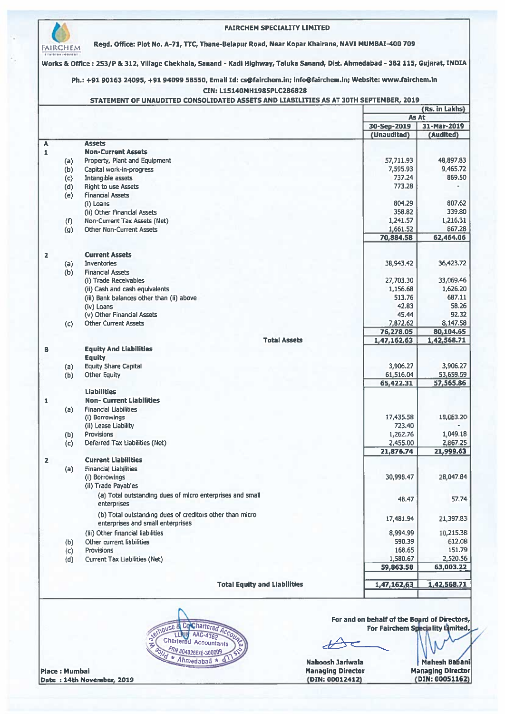|            |                                                                                               | STATEMENT OF UNAUDITED CONSOLIDATED ASSETS AND LIABILITIES AS AT 30TH SEPTEMBER, 2019 | (Rs. in Lakhs)           |
|------------|-----------------------------------------------------------------------------------------------|---------------------------------------------------------------------------------------|--------------------------|
|            |                                                                                               | As At                                                                                 |                          |
|            |                                                                                               | 30-Sep-2019<br>(Unaudited)                                                            | 31-Mar-2019<br>(Audited) |
|            | <b>Assets</b>                                                                                 |                                                                                       |                          |
|            | <b>Non-Current Assets</b><br>Property, Plant and Equipment                                    | 57,711.93                                                                             | 48,897.83                |
| (a)<br>(b) | Capital work-in-progress                                                                      | 7,595.93                                                                              | 9,465.72                 |
| (c)        | Intangible assets                                                                             | 737.24                                                                                | 869.50                   |
| (d)        | <b>Right to use Assets</b>                                                                    | 773.28                                                                                |                          |
| (e)        | <b>Financial Assets</b>                                                                       | 804.29                                                                                | 807.62                   |
|            | (i) Loans<br>(ii) Other Financial Assets                                                      | 358.82                                                                                | 339,80                   |
| (f)        | Non-Current Tax Assets (Net)                                                                  | 1,241.57                                                                              | 1,216.31                 |
| (q)        | <b>Other Non-Current Assets</b>                                                               | 1,661.52                                                                              | 867.28                   |
|            |                                                                                               | 70,884.58                                                                             | 62,464.06                |
|            | <b>Current Assets</b>                                                                         |                                                                                       |                          |
| (a)        | Inventories                                                                                   | 38,943.42                                                                             | 36,423.72                |
| (b)        | <b>Financial Assets</b>                                                                       |                                                                                       |                          |
|            | (i) Trade Receivables                                                                         | 27,703.30                                                                             | 33,069.46                |
|            | (ii) Cash and cash equivalents<br>(iii) Bank balances other than (ii) above                   | 1,156.68<br>513.76                                                                    | 1,626.20<br>687.11       |
|            | (iv) Loans                                                                                    | 42.83                                                                                 | 58.26                    |
|            | (v) Other Financial Assets                                                                    | 45.44                                                                                 | 92.32                    |
| (c)        | <b>Other Current Assets</b>                                                                   | 7,872.62                                                                              | 8,147.58                 |
|            | <b>Total Assets</b>                                                                           | 76,278.05<br>1,47,162.63                                                              | 80,104.65<br>1,42,568.71 |
|            | <b>Equity And Liabilities</b>                                                                 |                                                                                       |                          |
|            | <b>Equity</b>                                                                                 |                                                                                       |                          |
| (a)        | <b>Equity Share Capital</b>                                                                   | 3,906.27                                                                              | 3,906.27                 |
| (b)        | Other Equity                                                                                  | 61,516.04<br>65,422.31                                                                | 53,659.59<br>57,565.86   |
|            | <b>Liabilities</b>                                                                            |                                                                                       |                          |
|            | Non- Current Liabilities                                                                      |                                                                                       |                          |
| (a)        | <b>Financial Liabilities</b><br>(i) Borrowings                                                | 17,435.58                                                                             | 18,083.20                |
|            | (ii) Lease Liability                                                                          | 723.40                                                                                |                          |
| (b)        | <b>Provisions</b>                                                                             | 1,262.76                                                                              | 1,049.18                 |
| (c)        | Deferred Tax Liabilities (Net)                                                                | 2,455.00                                                                              | 2,867.25                 |
|            | <b>Current Liabilities</b>                                                                    | 21,876.74                                                                             | 21,999.63                |
| (a)        | <b>Financial Liabilities</b>                                                                  |                                                                                       |                          |
|            | (i) Borrowings                                                                                | 30,998.47                                                                             | 28,047.84                |
|            | (ii) Trade Payables                                                                           |                                                                                       |                          |
|            | (a) Total outstanding dues of micro enterprises and small<br>enterprises                      | 48.47                                                                                 | 57.74                    |
|            |                                                                                               |                                                                                       |                          |
|            | (b) Total outstanding dues of creditors other than micro<br>enterprises and small enterprises | 17,481.94                                                                             | 21,397.83                |
|            | (iii) Other financial liabilities                                                             | 8,994.99                                                                              | 10,215.38                |
| (b)        | Other current liabilities                                                                     | 590.39                                                                                | 612.08                   |
| (c)        | <b>Provisions</b>                                                                             | 168.65                                                                                | 151.79                   |
| (d)        | Current Tax Liabilities (Net)                                                                 | 1,580.67<br>59,863.58                                                                 | 2,520.56<br>63,003.22    |
|            |                                                                                               |                                                                                       |                          |
|            | <b>Total Equity and Liabilities</b>                                                           | 1,47,162.63                                                                           | 1,42,568.71              |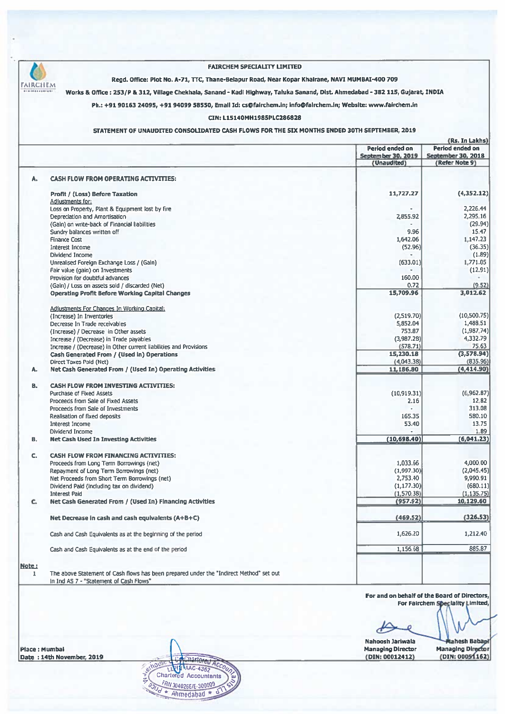

**Place: Mumbal** Date: 14th November, 2019

Charlered Ac erhot AAC-4362 M **Chartered Accountants** FRN 304026E/E 300009 ÷ Ahmedabad \*

Nahoosh Jariwala **Managing Director** (DIN: 00012412)

lahesh Babani **Managing Director** (DIN: 00051162)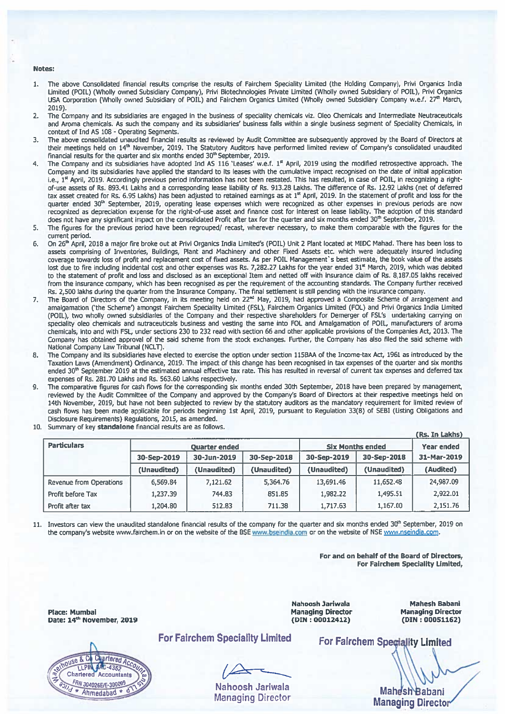#### Notes:

- The above Consolidated financial results comprise the results of Fairchem Speciality Limited (the Holding Company), Privi Organics India  $1.$ Limited (POIL) (Wholly owned Subsidiary Company), Privi Biotechnologies Private Limited (Wholly owned Subsidiary of POIL), Privi Organics USA Corporation (Wholly owned Subsidiary of POIL) and Fairchem Organics Limited (Wholly owned Subsidiary Company w.e.f. 27th March, 2019).
- The Company and its subsidiaries are engaged in the business of speciality chemicals viz. Oleo Chemicals and Intermediate Neutraceuticals  $2.$ and Aroma chemicals. As such the company and its subsidiaries' business falls within a single business segment of Speciality Chemicals, in context of Ind AS 108 - Operating Segments.
- The above consolidated unaudited financial results as reviewed by Audit Committee are subsequently approved by the Board of Directors at 3. their meetings held on 14<sup>th</sup> November, 2019. The Statutory Auditors have performed limited review of Company's consolidated unaudited financial results for the quarter and six months ended 30<sup>th</sup> September, 2019.
- The Company and its subsidiaries have adopted Ind AS 116 'Leases' w.e.f. 1<sup>st</sup> April, 2019 using the modified retrospective approach. The 4. Company and its subsidiaries have applied the standard to its leases with the cumulative impact recognised on the date of initial application i.e., 1<sup>st</sup> April, 2019. Accordingly previous period information has not been restated. This has resulted, in case of POIL, in recognizing a rightof-use assets of Rs. 893.41 Lakhs and a corresponding lease liability of Rs. 913.28 Lakhs. The difference of Rs. 12.92 Lakhs (net of deferred tax asset created for Rs. 6.95 Lakhs) has been adjusted to retained earnings as at 1<sup>st</sup> April, 2019. In the statement of profit and loss for the quarter ended 30<sup>th</sup> September, 2019, operating lease expenses which were recognized as other expenses in previous periods are now recognized as depreciation expense for the right-of-use asset and finance cost for interest on lease liability. The adoption of this standard does not have any significant impact on the consolidated Profit after tax for the quarter and six months ended 30<sup>th</sup> September, 2019.
- 5. The figures for the previous period have been regrouped/ recast, wherever necessary, to make them comparable with the figures for the current period.
- б. On 26<sup>th</sup> April, 2018 a major fire broke out at Privi Organics India Limited's (POIL) Unit 2 Plant located at MIDC Mahad. There has been loss to assets comprising of Inventories, Buildings, Plant and Machinery and other Fixed Assets etc. which were adequately insured including coverage towards loss of profit and replacement cost of fixed assets. As per POIL Management's best estimate, the book value of the assets lost due to fire including incidental cost and other expenses was Rs. 7,282.27 Lakhs for the year ended 31<sup>st</sup> March, 2019, which was debited to the statement of profit and loss and disclosed as an exceptional Item and netted off with insurance daim of Rs. 8,187.05 lakhs received from the insurance company, which has been recognised as per the requirement of the accounting standards. The Company further received Rs. 2,500 lakhs during the quarter from the Insurance Company. The final settlement is still pending with the insurance company.
- The Board of Directors of the Company, in its meeting held on 22<sup>nd</sup> May, 2019, had approved a Composite Scheme of arrangement and amalgamation ('the Scheme') amongst Fairchem Speciality Limited (FSL), Fairchem Organics Limited (FOL) and Privi Organics India Limited (POIL), two wholly owned subsidiaries of the Company and their respective shareholders for Demerger of FSL's undertaking carrying on speciality oleo chemicals and nutraceuticals business and vesting the same into FOL and Amalgamation of POIL, manufacturers of aroma chemicals, into and with FSL, under sections 230 to 232 read with section 66 and other applicable provisions of the Companies Act, 2013. The Company has obtained approval of the said scheme from the stock exchanges. Further, the Company has also filed the said scheme with National Company Law Tribunal (NCLT).
- The Company and its subsidiaries have elected to exercise the option under section 115BAA of the Income-tax Act, 1961 as introduced by the  $R_{\cdot}$ Taxation Laws (Amendment) Ordinance, 2019. The impact of this change has been recognised in tax expenses of the quarter and six months ended 30<sup>th</sup> September 2019 at the estimated annual effective tax rate. This has resulted in reversal of current tax expenses and deferred tax expenses of Rs. 281.70 Lakhs and Rs. 563.60 Lakhs respectively.
- The comparative figures for cash flows for the corresponding six months ended 30th September, 2018 have been prepared by management,  $\mathbf{Q}$ reviewed by the Audit Committee of the Company and approved by the Company's Board of Directors at their respective meetings held on 14th November, 2019, but have not been subjected to review by the statutory auditors as the mandatory requirement for limited review of cash flows has been made applicable for periods beginning 1st April, 2019, pursuant to Regulation 33(8) of SEBI (Listing Obligations and Disclosure Requirements) Regulations, 2015, as amended.
- $10.$ Summary of key standalone financial results are as follows.

|                                |             |                      |             |                         |                   | (Rs. In Lakhs) |
|--------------------------------|-------------|----------------------|-------------|-------------------------|-------------------|----------------|
| <b>Particulars</b>             |             | <b>Quarter ended</b> |             | <b>Six Months ended</b> | <b>Year ended</b> |                |
|                                | 30-Sep-2019 | 30-Jun-2019          | 30-Sep-2018 | 30-Sep-2019             | 30-Sep-2018       | 31-Mar-2019    |
|                                | (Unaudited) | (Unaudited)          | (Unaudited) | (Unaudited)             | (Unaudited)       | (Audited)      |
| <b>Revenue from Operations</b> | 6,569.84    | 7,121.62             | 5.364.76    | 13,691.46               | 11,652.48         | 24.987.09      |
| Profit before Tax              | 1,237.39    | 744.83               | 851.85      | 1,982.22                | 1,495.51          | 2,922.01       |
| Profit after tax               | 1,204.80    | 512.83               | 711.38      | 1,717.63                | 1,167.00          | 2,151.76       |

11. Investors can view the unaudited standalone financial results of the company for the quarter and six months ended 30<sup>th</sup> September, 2019 on the company's website www.fairchem.in or on the website of the BSE www.bseindia.com or on the website of NSE www.nseindia.com.

> For and on behalf of the Board of Directors, For Fairchem Speciality Limited,

**Place: Mumbai** Date: 14th November, 2019



**For Fairchem Speciality Limited** 

Nahoosh Jariwala **Managing Director** 

Nahoosh Jariwala **Managing Director**  $(DIN: 00012412)$ 

**Mahesh Babani Managing Director** (DIN: 00051162)

For Fairchem Speciality Limited

Mahesh Babani **Managing Director**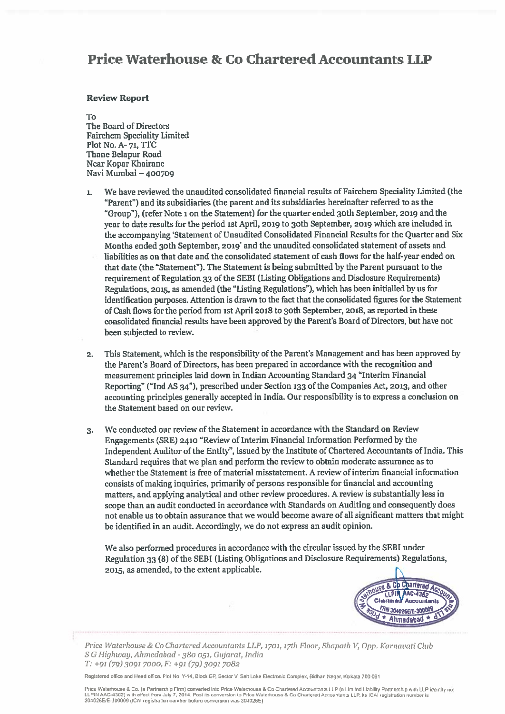# **Price Waterhouse & Co Chartered Accountants LLP**

#### **Review Report**

#### To

The Board of Directors **Fairchem Speciality Limited** Plot No. A-71, TTC Thane Belapur Road Near Kopar Khairane Navi Mumbai - 400709

- We have reviewed the unaudited consolidated financial results of Fairchem Speciality Limited (the  $\mathbf{1}$ "Parent") and its subsidiaries (the parent and its subsidiaries hereinafter referred to as the "Group"), (refer Note 1 on the Statement) for the quarter ended 30th September, 2019 and the vear to date results for the period 1st April, 2019 to 30th September, 2019 which are included in the accompanying 'Statement of Unaudited Consolidated Financial Results for the Quarter and Six Months ended 30th September, 2019' and the unaudited consolidated statement of assets and liabilities as on that date and the consolidated statement of cash flows for the half-year ended on that date (the "Statement"). The Statement is being submitted by the Parent pursuant to the requirement of Regulation 33 of the SEBI (Listing Obligations and Disclosure Requirements) Regulations, 2015, as amended (the "Listing Regulations"), which has been initialled by us for identification purposes. Attention is drawn to the fact that the consolidated figures for the Statement of Cash flows for the period from 1st April 2018 to 30th September, 2018, as reported in these consolidated financial results have been approved by the Parent's Board of Directors, but have not been subjected to review.
- This Statement, which is the responsibility of the Parent's Management and has been approved by  $2.$ the Parent's Board of Directors, has been prepared in accordance with the recognition and measurement principles laid down in Indian Accounting Standard 34 "Interim Financial Reporting" ("Ind AS 34"), prescribed under Section 133 of the Companies Act, 2013, and other accounting principles generally accepted in India. Our responsibility is to express a conclusion on the Statement based on our review.
- We conducted our review of the Statement in accordance with the Standard on Review  $3.$ Engagements (SRE) 2410 "Review of Interim Financial Information Performed by the Independent Auditor of the Entity", issued by the Institute of Chartered Accountants of India. This Standard requires that we plan and perform the review to obtain moderate assurance as to whether the Statement is free of material misstatement. A review of interim financial information consists of making inquiries, primarily of persons responsible for financial and accounting matters, and applying analytical and other review procedures. A review is substantially less in scope than an audit conducted in accordance with Standards on Auditing and consequently does not enable us to obtain assurance that we would become aware of all significant matters that might be identified in an audit. Accordingly, we do not express an audit opinion.

We also performed procedures in accordance with the circular issued by the SEBI under Regulation 33 (8) of the SEBI (Listing Obligations and Disclosure Requirements) Regulations, 2015, as amended, to the extent applicable.



Price Waterhouse & Co Chartered Accountants LLP, 1701, 17th Floor, Shapath V, Opp. Karnavati Club S G Highway, Ahmedabad - 380 051, Gujarat, India T: +91 (79) 3091 7000, F: +91 (79) 3091 7082

Registered office and Head office: Plot No. Y-14, Block EP, Sector V, Satt Lake Electronic Complex, Bidhan Nagar, Kolkata 700 091

Price Waterhouse & Co. (a Partnership Firm) converted into Price Waterhouse & Co Chartered Accountants LLP (a Limited Liability Partnership with LLP Identity no 4362) with effect from July 7, 2014. Post its conversion to Price Waterhouse & Co Chartered Accountants LLP, its ICAI registration number is 304026E/E-300009 (ICAI registration number before conversion was 304026E)